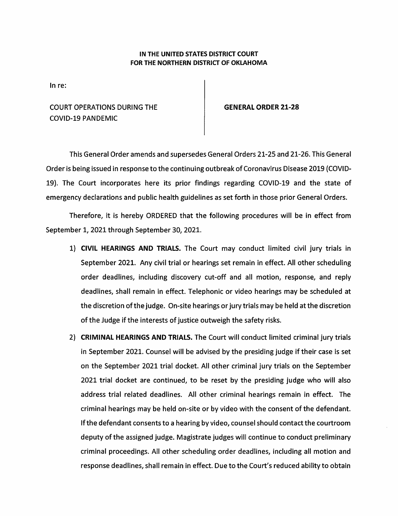## IN THE UNITED STATES DISTRICT COURT FOR THE NORTHERN DISTRICT OF OKLAHOMA

In re:

**COURT OPERATIONS DURING THE COVID-19 PANDEMIC** 

**GENERAL ORDER 21-28** 

This General Order amends and supersedes General Orders 21-25 and 21-26. This General Order is being issued in response to the continuing outbreak of Coronavirus Disease 2019 (COVID-19). The Court incorporates here its prior findings regarding COVID-19 and the state of emergency declarations and public health guidelines as set forth in those prior General Orders.

Therefore, it is hereby ORDERED that the following procedures will be in effect from September 1, 2021 through September 30, 2021.

- 1) CIVIL HEARINGS AND TRIALS. The Court may conduct limited civil jury trials in September 2021. Any civil trial or hearings set remain in effect. All other scheduling order deadlines, including discovery cut-off and all motion, response, and reply deadlines, shall remain in effect. Telephonic or video hearings may be scheduled at the discretion of the judge. On-site hearings or jury trials may be held at the discretion of the Judge if the interests of justice outweigh the safety risks.
- 2) CRIMINAL HEARINGS AND TRIALS. The Court will conduct limited criminal jury trials in September 2021. Counsel will be advised by the presiding judge if their case is set on the September 2021 trial docket. All other criminal jury trials on the September 2021 trial docket are continued, to be reset by the presiding judge who will also address trial related deadlines. All other criminal hearings remain in effect. The criminal hearings may be held on-site or by video with the consent of the defendant. If the defendant consents to a hearing by video, counsel should contact the courtroom deputy of the assigned judge. Magistrate judges will continue to conduct preliminary criminal proceedings. All other scheduling order deadlines, including all motion and response deadlines, shall remain in effect. Due to the Court's reduced ability to obtain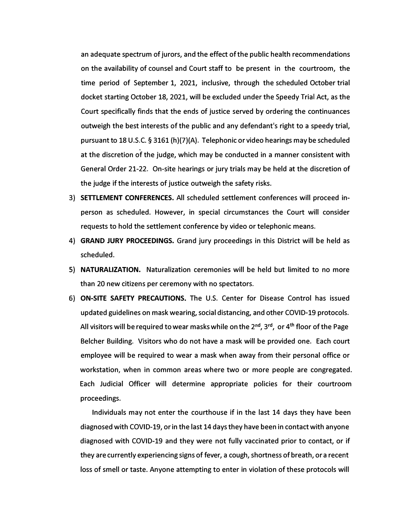an adequate spectrum of jurors, and the effect of the public health recommendations on the availability of counsel and Court staff to be present in the courtroom, the time period of September 1, 2021, inclusive, through the scheduled October trial docket starting October 18, 2021, will be excluded under the Speedy Trial Act, as the Court specifically finds that the ends of justice served by ordering the continuances outweigh the best interests of the public and any defendant's right to a speedy trial, pursuant to 18 U.S.C. § 3161 (h)(7)(A). Telephonic or video hearings may be scheduled at the discretion of the judge, which may be conducted in a manner consistent with General Order 21-22. On-site hearings or jury trials may be held at the discretion of the judge if the interests of justice outweigh the safety risks.

- 3) **SETTLEMENT CONFERENCES.** All scheduled settlement conferences will proceed inperson as scheduled. However, in special circumstances the Court will consider requests to hold the settlement conference by video or telephonic means.
- 4) **GRAND JURY PROCEEDINGS.** Grand jury proceedings in this District will be held as scheduled.
- **S) NATURALIZATION.** Naturalization ceremonies will be held but limited to no more than 20 new citizens per ceremony with no spectators.
- 6) **ON-SITE SAFETY PRECAUTIONS.** The U.S. Center for Disease Control has issued updated guidelines on mask wearing, social distancing, and other COVID-19 protocols. All visitors will be required towear maskswhile on the 2 **nd ,** 3 **rd ,** or 4 **th** floor of the Page Belcher Building. Visitors who do not have a mask will be provided one. Each court employee will be required to wear a mask when away from their personal office or workstation, when in common areas where two or more people are congregated. Each Judicial Officer will determine appropriate policies for their courtroom proceedings.

Individuals may not enter the courthouse if in the last 14 days they have been diagnosed with COVID-19, or in the last 14 days they have been in contact with anyone diagnosed with COVID-19 and they were not fully vaccinated prior to contact, or if they are currently experiencing signs of fever, a cough, shortness of breath, or a recent loss of smell or taste. Anyone attempting to enter in violation of these protocols will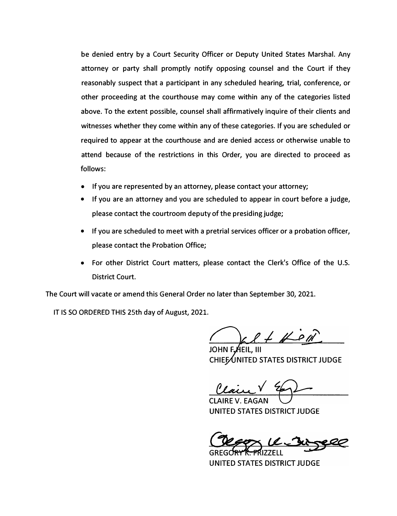be denied entry by a Court Security Officer or Deputy United States Marshal. Any attorney or party shall promptly notify opposing counsel and the Court if they reasonably suspect that a participant in any scheduled hearing, trial, conference, or other proceeding at the courthouse may come within any of the categories listed above. To the extent possible, counsel shall affirmatively inquire of their clients and witnesses whether they come within any of these categories. If you are scheduled or required to appear at the courthouse and are denied access or otherwise unable to attend because of the restrictions in this Order, you are directed to proceed as follows:

- If you are represented by an attorney, please contact your attorney;
- If you are an attorney and you are scheduled to appear in court before a judge, please contact the courtroom deputy of the presiding judge;
- If you are scheduled to meet with a pretrial services officer or a probation officer, please contact the Probation Office;
- For other District Court matters, please contact the Clerk's Office of the U.S. District Court.

The Court will vacate or amend this General Order no later than September 30, 2021.

IT IS SO ORDERED THIS 25th day of August, 2021.

 $9 + H - P$ 

AEIL. III CHIEF UNITED STATES DISTRICT JUDGE

CLAIRE V. EAGAN UNITED STATES DISTRICT JUDGE

UNITED STATES DISTRICT JUDGE